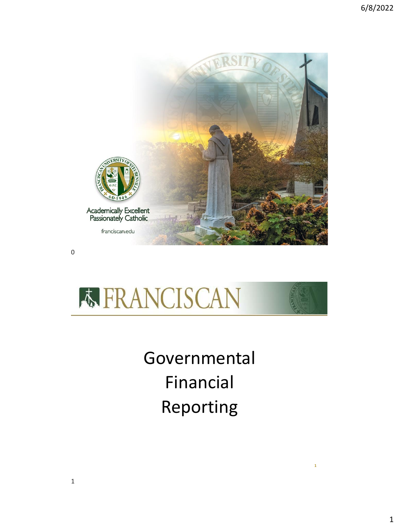



Governmental Financial Reporting

**1**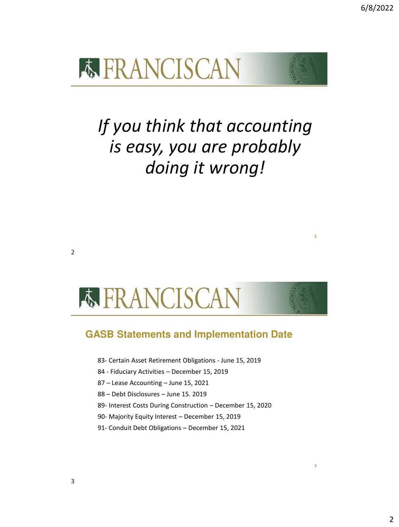**3**



## *If you think that accounting is easy, you are probably doing it wrong!*

# **K FRANCISCAN**

## **GASB Statements and Implementation Date**

83- Certain Asset Retirement Obligations - June 15, 2019

84 - Fiduciary Activities – December 15, 2019

87 – Lease Accounting – June 15, 2021

88 – Debt Disclosures – June 15. 2019

89- Interest Costs During Construction – December 15, 2020

90- Majority Equity Interest – December 15, 2019

91- Conduit Debt Obligations – December 15, 2021

2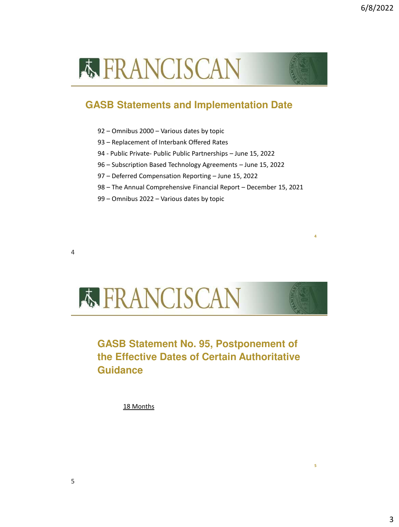**5**

## **K FRANCISCAN**

## **GASB Statements and Implementation Date**

- 92 Omnibus 2000 Various dates by topic
- 93 Replacement of Interbank Offered Rates
- 94 Public Private- Public Public Partnerships June 15, 2022
- 96 Subscription Based Technology Agreements June 15, 2022
- 97 Deferred Compensation Reporting June 15, 2022
- 98 The Annual Comprehensive Financial Report December 15, 2021
- 99 Omnibus 2022 Various dates by topic

4



## **GASB Statement No. 95, Postponement of the Effective Dates of Certain Authoritative Guidance**

18 Months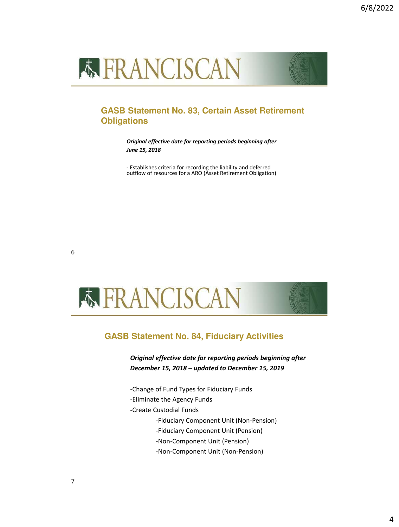

### **GASB Statement No. 83, Certain Asset Retirement Obligations**

*Original effective date for reporting periods beginning after June 15, 2018*

- Establishes criteria for recording the liability and deferred outflow of resources for a ARO (Asset Retirement Obligation)



#### **GASB Statement No. 84, Fiduciary Activities**

*Original effective date for reporting periods beginning after December 15, 2018 – updated to December 15, 2019*

-Change of Fund Types for Fiduciary Funds

-Eliminate the Agency Funds

-Create Custodial Funds

-Fiduciary Component Unit (Non-Pension)

- -Fiduciary Component Unit (Pension)
- -Non-Component Unit (Pension)

-Non-Component Unit (Non-Pension)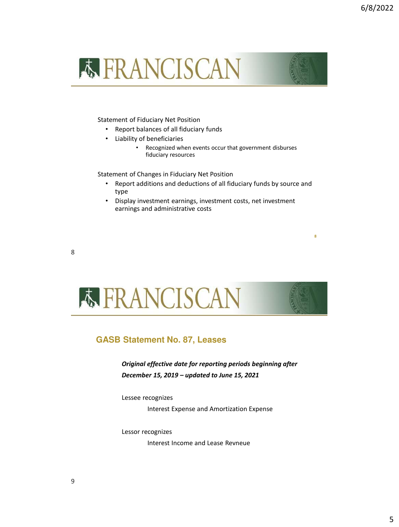

#### Statement of Fiduciary Net Position

- Report balances of all fiduciary funds
- Liability of beneficiaries
	- Recognized when events occur that government disburses fiduciary resources

Statement of Changes in Fiduciary Net Position

- Report additions and deductions of all fiduciary funds by source and type
- Display investment earnings, investment costs, net investment earnings and administrative costs

8



#### **GASB Statement No. 87, Leases**

*Original effective date for reporting periods beginning after December 15, 2019 – updated to June 15, 2021*

Lessee recognizes

Interest Expense and Amortization Expense

Lessor recognizes

Interest Income and Lease Revneue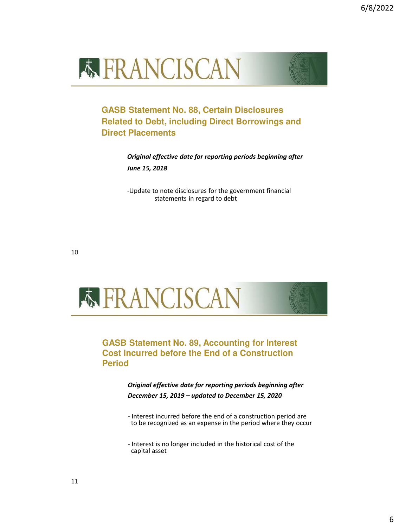



**GASB Statement No. 88, Certain Disclosures Related to Debt, including Direct Borrowings and Direct Placements**

> *Original effective date for reporting periods beginning after June 15, 2018*

-Update to note disclosures for the government financial statements in regard to debt

10



**GASB Statement No. 89, Accounting for Interest Cost Incurred before the End of a Construction Period**

> *Original effective date for reporting periods beginning after December 15, 2019 – updated to December 15, 2020*

- Interest incurred before the end of a construction period are to be recognized as an expense in the period where they occur

- Interest is no longer included in the historical cost of the capital asset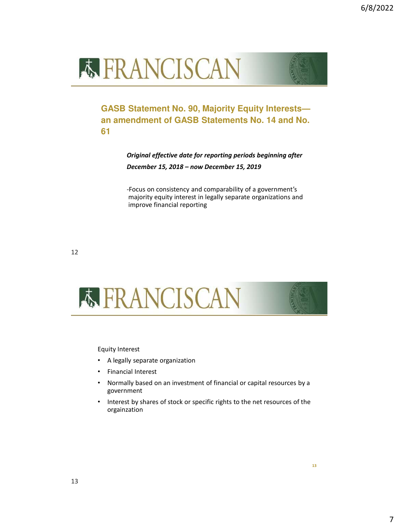



**GASB Statement No. 90, Majority Equity Interests an amendment of GASB Statements No. 14 and No. 61**

> *Original effective date for reporting periods beginning after December 15, 2018 – now December 15, 2019*

> -Focus on consistency and comparability of a government's majority equity interest in legally separate organizations and improve financial reporting

12



Equity Interest

- A legally separate organization
- Financial Interest
- Normally based on an investment of financial or capital resources by a government
- Interest by shares of stock or specific rights to the net resources of the orgainzation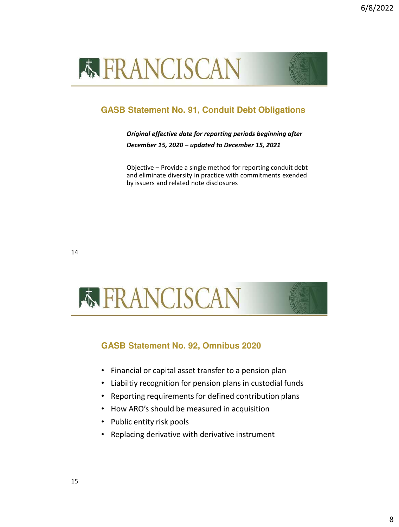



## **GASB Statement No. 91, Conduit Debt Obligations**

#### *Original effective date for reporting periods beginning after December 15, 2020 – updated to December 15, 2021*

Objective – Provide a single method for reporting conduit debt and eliminate diversity in practice with commitments exended by issuers and related note disclosures



### **GASB Statement No. 92, Omnibus 2020**

- Financial or capital asset transfer to a pension plan
- Liabiltiy recognition for pension plans in custodial funds
- Reporting requirements for defined contribution plans
- How ARO's should be measured in acquisition
- Public entity risk pools
- Replacing derivative with derivative instrument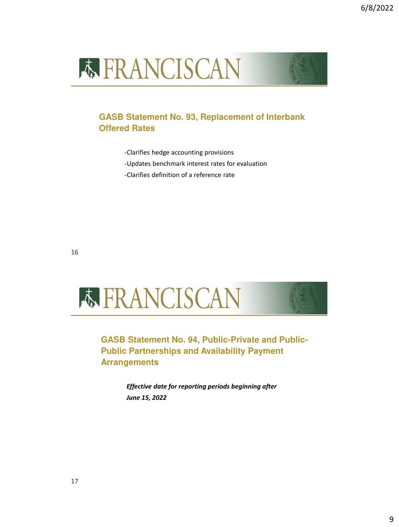



- -Clarifies hedge accounting provisions
- -Updates benchmark interest rates for evaluation
- -Clarifies definition of a reference rate



**GASB Statement No. 94, Public-Private and Public-Public Partnerships and Availability Payment Arrangements**

> *Effective date for reporting periods beginning after June 15, 2022*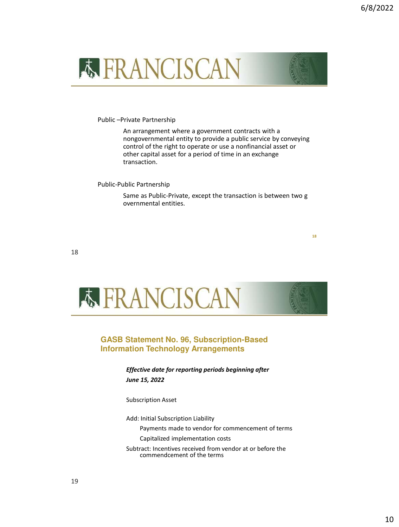

Public –Private Partnership

An arrangement where a government contracts with a nongovernmental entity to provide a public service by conveying control of the right to operate or use a nonfinancial asset or other capital asset for a period of time in an exchange transaction.

Public-Public Partnership

Same as Public-Private, except the transaction is between two g overnmental entities.

**18**

18



#### **GASB Statement No. 96, Subscription-Based Information Technology Arrangements**

*Effective date for reporting periods beginning after June 15, 2022*

Subscription Asset

Add: Initial Subscription Liability

Payments made to vendor for commencement of terms

Capitalized implementation costs

Subtract: Incentives received from vendor at or before the commendcement of the terms